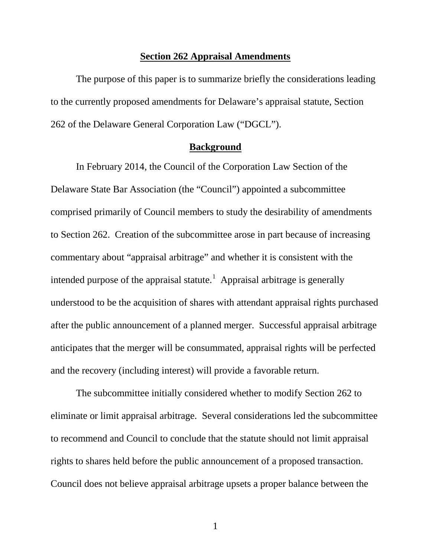#### **Section 262 Appraisal Amendments**

The purpose of this paper is to summarize briefly the considerations leading to the currently proposed amendments for Delaware's appraisal statute, Section 262 of the Delaware General Corporation Law ("DGCL").

## **Background**

In February 2014, the Council of the Corporation Law Section of the Delaware State Bar Association (the "Council") appointed a subcommittee comprised primarily of Council members to study the desirability of amendments to Section 262. Creation of the subcommittee arose in part because of increasing commentary about "appraisal arbitrage" and whether it is consistent with the intended purpose of the appraisal statute.<sup>[1](#page-5-0)</sup> Appraisal arbitrage is generally understood to be the acquisition of shares with attendant appraisal rights purchased after the public announcement of a planned merger. Successful appraisal arbitrage anticipates that the merger will be consummated, appraisal rights will be perfected and the recovery (including interest) will provide a favorable return.

The subcommittee initially considered whether to modify Section 262 to eliminate or limit appraisal arbitrage. Several considerations led the subcommittee to recommend and Council to conclude that the statute should not limit appraisal rights to shares held before the public announcement of a proposed transaction. Council does not believe appraisal arbitrage upsets a proper balance between the

1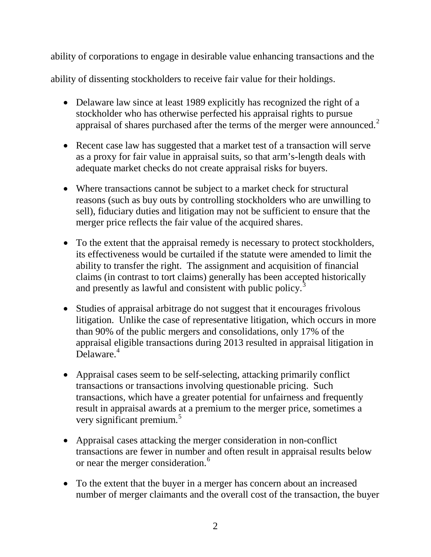ability of corporations to engage in desirable value enhancing transactions and the

ability of dissenting stockholders to receive fair value for their holdings.

- Delaware law since at least 1989 explicitly has recognized the right of a stockholder who has otherwise perfected his appraisal rights to pursue appraisal of shares purchased after the terms of the merger were announced.<sup>[2](#page-6-0)</sup>
- Recent case law has suggested that a market test of a transaction will serve as a proxy for fair value in appraisal suits, so that arm's-length deals with adequate market checks do not create appraisal risks for buyers.
- Where transactions cannot be subject to a market check for structural reasons (such as buy outs by controlling stockholders who are unwilling to sell), fiduciary duties and litigation may not be sufficient to ensure that the merger price reflects the fair value of the acquired shares.
- To the extent that the appraisal remedy is necessary to protect stockholders, its effectiveness would be curtailed if the statute were amended to limit the ability to transfer the right. The assignment and acquisition of financial claims (in contrast to tort claims) generally has been accepted historically and presently as lawful and consistent with public policy.<sup>[3](#page-6-1)</sup>
- Studies of appraisal arbitrage do not suggest that it encourages frivolous litigation. Unlike the case of representative litigation, which occurs in more than 90% of the public mergers and consolidations, only 17% of the appraisal eligible transactions during 2013 resulted in appraisal litigation in Delaware.<sup>[4](#page-6-2)</sup>
- Appraisal cases seem to be self-selecting, attacking primarily conflict transactions or transactions involving questionable pricing. Such transactions, which have a greater potential for unfairness and frequently result in appraisal awards at a premium to the merger price, sometimes a very significant premium.<sup>[5](#page-6-3)</sup>
- Appraisal cases attacking the merger consideration in non-conflict transactions are fewer in number and often result in appraisal results below or near the merger consideration.<sup>[6](#page-6-4)</sup>
- To the extent that the buyer in a merger has concern about an increased number of merger claimants and the overall cost of the transaction, the buyer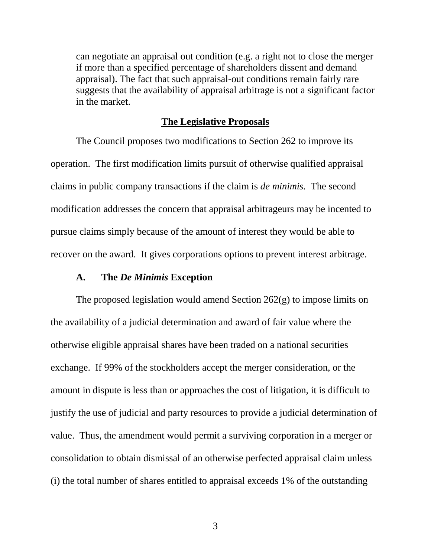can negotiate an appraisal out condition (e.g. a right not to close the merger if more than a specified percentage of shareholders dissent and demand appraisal). The fact that such appraisal-out conditions remain fairly rare suggests that the availability of appraisal arbitrage is not a significant factor in the market.

## **The Legislative Proposals**

The Council proposes two modifications to Section 262 to improve its operation. The first modification limits pursuit of otherwise qualified appraisal claims in public company transactions if the claim is *de minimis.* The second modification addresses the concern that appraisal arbitrageurs may be incented to pursue claims simply because of the amount of interest they would be able to recover on the award. It gives corporations options to prevent interest arbitrage.

#### **A. The** *De Minimis* **Exception**

The proposed legislation would amend Section  $262(g)$  to impose limits on the availability of a judicial determination and award of fair value where the otherwise eligible appraisal shares have been traded on a national securities exchange. If 99% of the stockholders accept the merger consideration, or the amount in dispute is less than or approaches the cost of litigation, it is difficult to justify the use of judicial and party resources to provide a judicial determination of value. Thus, the amendment would permit a surviving corporation in a merger or consolidation to obtain dismissal of an otherwise perfected appraisal claim unless (i) the total number of shares entitled to appraisal exceeds 1% of the outstanding

3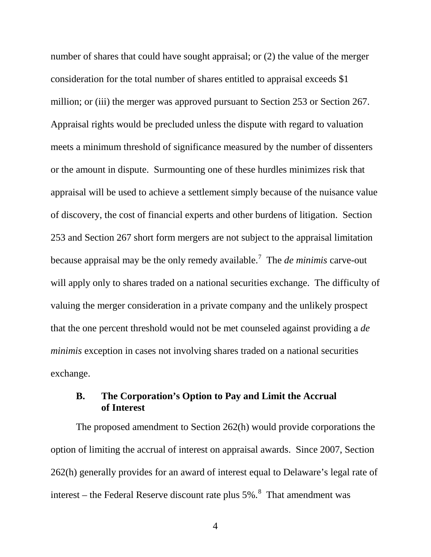number of shares that could have sought appraisal; or (2) the value of the merger consideration for the total number of shares entitled to appraisal exceeds \$1 million; or (iii) the merger was approved pursuant to Section 253 or Section 267. Appraisal rights would be precluded unless the dispute with regard to valuation meets a minimum threshold of significance measured by the number of dissenters or the amount in dispute. Surmounting one of these hurdles minimizes risk that appraisal will be used to achieve a settlement simply because of the nuisance value of discovery, the cost of financial experts and other burdens of litigation. Section 253 and Section 267 short form mergers are not subject to the appraisal limitation because appraisal may be the only remedy available.[7](#page-6-5) The *de minimis* carve-out will apply only to shares traded on a national securities exchange. The difficulty of valuing the merger consideration in a private company and the unlikely prospect that the one percent threshold would not be met counseled against providing a *de minimis* exception in cases not involving shares traded on a national securities exchange.

# **B. The Corporation's Option to Pay and Limit the Accrual of Interest**

The proposed amendment to Section 262(h) would provide corporations the option of limiting the accrual of interest on appraisal awards. Since 2007, Section 262(h) generally provides for an award of interest equal to Delaware's legal rate of interest – the Federal Reserve discount rate plus  $5\%$ .<sup>[8](#page-6-6)</sup> That amendment was

4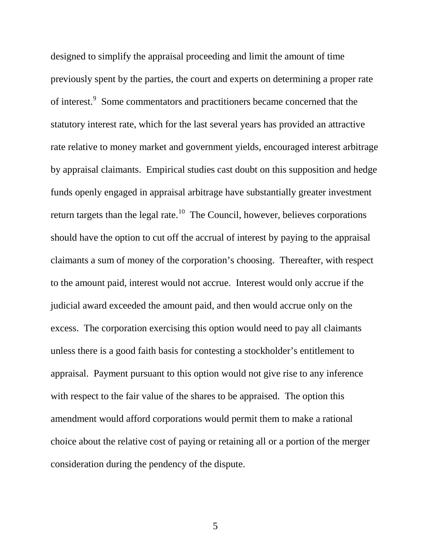designed to simplify the appraisal proceeding and limit the amount of time previously spent by the parties, the court and experts on determining a proper rate of interest.<sup>[9](#page-6-7)</sup> Some commentators and practitioners became concerned that the statutory interest rate, which for the last several years has provided an attractive rate relative to money market and government yields, encouraged interest arbitrage by appraisal claimants. Empirical studies cast doubt on this supposition and hedge funds openly engaged in appraisal arbitrage have substantially greater investment return targets than the legal rate.<sup>10</sup> The Council, however, believes corporations should have the option to cut off the accrual of interest by paying to the appraisal claimants a sum of money of the corporation's choosing. Thereafter, with respect to the amount paid, interest would not accrue. Interest would only accrue if the judicial award exceeded the amount paid, and then would accrue only on the excess. The corporation exercising this option would need to pay all claimants unless there is a good faith basis for contesting a stockholder's entitlement to appraisal. Payment pursuant to this option would not give rise to any inference with respect to the fair value of the shares to be appraised. The option this amendment would afford corporations would permit them to make a rational choice about the relative cost of paying or retaining all or a portion of the merger consideration during the pendency of the dispute.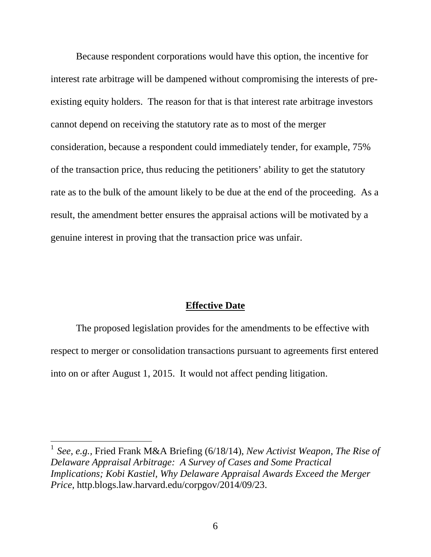Because respondent corporations would have this option, the incentive for interest rate arbitrage will be dampened without compromising the interests of preexisting equity holders. The reason for that is that interest rate arbitrage investors cannot depend on receiving the statutory rate as to most of the merger consideration, because a respondent could immediately tender, for example, 75% of the transaction price, thus reducing the petitioners' ability to get the statutory rate as to the bulk of the amount likely to be due at the end of the proceeding. As a result, the amendment better ensures the appraisal actions will be motivated by a genuine interest in proving that the transaction price was unfair.

### **Effective Date**

The proposed legislation provides for the amendments to be effective with respect to merger or consolidation transactions pursuant to agreements first entered into on or after August 1, 2015. It would not affect pending litigation.

<span id="page-5-0"></span> <sup>1</sup> *See, e.g.,* Fried Frank M&A Briefing (6/18/14), *New Activist Weapon, The Rise of Delaware Appraisal Arbitrage: A Survey of Cases and Some Practical Implications; Kobi Kastiel, Why Delaware Appraisal Awards Exceed the Merger Price*, http.blogs.law.harvard.edu/corpgov/2014/09/23.